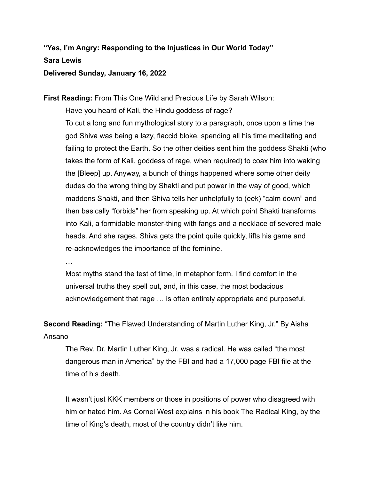## **"Yes, I'm Angry: Responding to the Injustices in Our World Today" Sara Lewis Delivered Sunday, January 16, 2022**

**First Reading:** From This One Wild and Precious Life by Sarah Wilson:

Have you heard of Kali, the Hindu goddess of rage? To cut a long and fun mythological story to a paragraph, once upon a time the god Shiva was being a lazy, flaccid bloke, spending all his time meditating and failing to protect the Earth. So the other deities sent him the goddess Shakti (who takes the form of Kali, goddess of rage, when required) to coax him into waking the [Bleep] up. Anyway, a bunch of things happened where some other deity dudes do the wrong thing by Shakti and put power in the way of good, which maddens Shakti, and then Shiva tells her unhelpfully to (eek) "calm down" and then basically "forbids" her from speaking up. At which point Shakti transforms into Kali, a formidable monster-thing with fangs and a necklace of severed male heads. And she rages. Shiva gets the point quite quickly, lifts his game and re-acknowledges the importance of the feminine.

…

Most myths stand the test of time, in metaphor form. I find comfort in the universal truths they spell out, and, in this case, the most bodacious acknowledgement that rage … is often entirely appropriate and purposeful.

**Second Reading:** "The Flawed Understanding of Martin Luther King, Jr." By Aisha Ansano

The Rev. Dr. Martin Luther King, Jr. was a radical. He was called "the most dangerous man in America" by the FBI and had a 17,000 page FBI file at the time of his death.

It wasn't just KKK members or those in positions of power who disagreed with him or hated him. As Cornel West explains in his book The Radical King, by the time of King's death, most of the country didn't like him.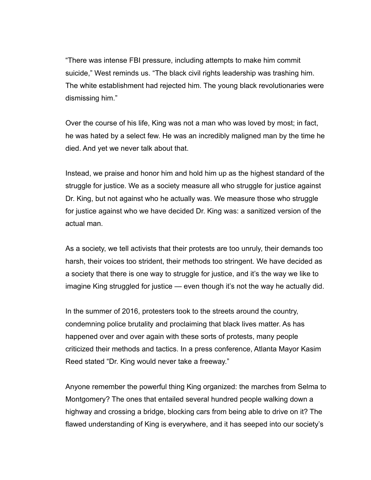"There was intense FBI pressure, including attempts to make him commit suicide," West reminds us. "The black civil rights leadership was trashing him. The white establishment had rejected him. The young black revolutionaries were dismissing him."

Over the course of his life, King was not a man who was loved by most; in fact, he was hated by a select few. He was an incredibly maligned man by the time he died. And yet we never talk about that.

Instead, we praise and honor him and hold him up as the highest standard of the struggle for justice. We as a society measure all who struggle for justice against Dr. King, but not against who he actually was. We measure those who struggle for justice against who we have decided Dr. King was: a sanitized version of the actual man.

As a society, we tell activists that their protests are too unruly, their demands too harsh, their voices too strident, their methods too stringent. We have decided as a society that there is one way to struggle for justice, and it's the way we like to imagine King struggled for justice — even though it's not the way he actually did.

In the summer of 2016, protesters took to the streets around the country, condemning police brutality and proclaiming that black lives matter. As has happened over and over again with these sorts of protests, many people criticized their methods and tactics. In a press conference, Atlanta Mayor Kasim Reed stated "Dr. King would never take a freeway."

Anyone remember the powerful thing King organized: the marches from Selma to Montgomery? The ones that entailed several hundred people walking down a highway and crossing a bridge, blocking cars from being able to drive on it? The flawed understanding of King is everywhere, and it has seeped into our society's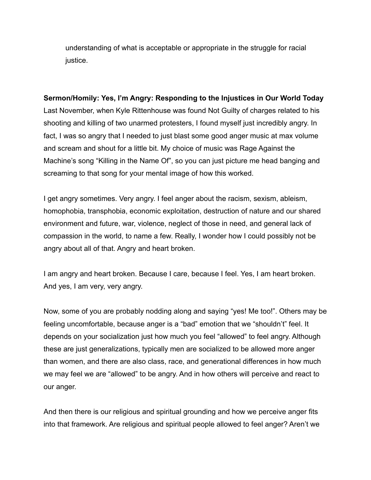understanding of what is acceptable or appropriate in the struggle for racial justice.

## **Sermon/Homily: Yes, I'm Angry: Responding to the Injustices in Our World Today**

Last November, when Kyle Rittenhouse was found Not Guilty of charges related to his shooting and killing of two unarmed protesters, I found myself just incredibly angry. In fact, I was so angry that I needed to just blast some good anger music at max volume and scream and shout for a little bit. My choice of music was Rage Against the Machine's song "Killing in the Name Of", so you can just picture me head banging and screaming to that song for your mental image of how this worked.

I get angry sometimes. Very angry. I feel anger about the racism, sexism, ableism, homophobia, transphobia, economic exploitation, destruction of nature and our shared environment and future, war, violence, neglect of those in need, and general lack of compassion in the world, to name a few. Really, I wonder how I could possibly not be angry about all of that. Angry and heart broken.

I am angry and heart broken. Because I care, because I feel. Yes, I am heart broken. And yes, I am very, very angry.

Now, some of you are probably nodding along and saying "yes! Me too!". Others may be feeling uncomfortable, because anger is a "bad" emotion that we "shouldn't" feel. It depends on your socialization just how much you feel "allowed" to feel angry. Although these are just generalizations, typically men are socialized to be allowed more anger than women, and there are also class, race, and generational differences in how much we may feel we are "allowed" to be angry. And in how others will perceive and react to our anger.

And then there is our religious and spiritual grounding and how we perceive anger fits into that framework. Are religious and spiritual people allowed to feel anger? Aren't we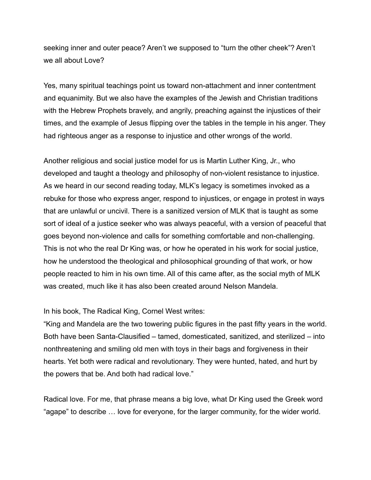seeking inner and outer peace? Aren't we supposed to "turn the other cheek"? Aren't we all about Love?

Yes, many spiritual teachings point us toward non-attachment and inner contentment and equanimity. But we also have the examples of the Jewish and Christian traditions with the Hebrew Prophets bravely, and angrily, preaching against the injustices of their times, and the example of Jesus flipping over the tables in the temple in his anger. They had righteous anger as a response to injustice and other wrongs of the world.

Another religious and social justice model for us is Martin Luther King, Jr., who developed and taught a theology and philosophy of non-violent resistance to injustice. As we heard in our second reading today, MLK's legacy is sometimes invoked as a rebuke for those who express anger, respond to injustices, or engage in protest in ways that are unlawful or uncivil. There is a sanitized version of MLK that is taught as some sort of ideal of a justice seeker who was always peaceful, with a version of peaceful that goes beyond non-violence and calls for something comfortable and non-challenging. This is not who the real Dr King was, or how he operated in his work for social justice, how he understood the theological and philosophical grounding of that work, or how people reacted to him in his own time. All of this came after, as the social myth of MLK was created, much like it has also been created around Nelson Mandela.

In his book, The Radical King, Cornel West writes:

"King and Mandela are the two towering public figures in the past fifty years in the world. Both have been Santa-Clausified – tamed, domesticated, sanitized, and sterilized – into nonthreatening and smiling old men with toys in their bags and forgiveness in their hearts. Yet both were radical and revolutionary. They were hunted, hated, and hurt by the powers that be. And both had radical love."

Radical love. For me, that phrase means a big love, what Dr King used the Greek word "agape" to describe … love for everyone, for the larger community, for the wider world.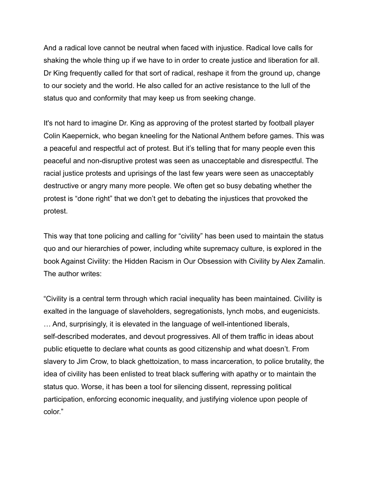And a radical love cannot be neutral when faced with injustice. Radical love calls for shaking the whole thing up if we have to in order to create justice and liberation for all. Dr King frequently called for that sort of radical, reshape it from the ground up, change to our society and the world. He also called for an active resistance to the lull of the status quo and conformity that may keep us from seeking change.

It's not hard to imagine Dr. King as approving of the protest started by football player Colin Kaepernick, who began kneeling for the National Anthem before games. This was a peaceful and respectful act of protest. But it's telling that for many people even this peaceful and non-disruptive protest was seen as unacceptable and disrespectful. The racial justice protests and uprisings of the last few years were seen as unacceptably destructive or angry many more people. We often get so busy debating whether the protest is "done right" that we don't get to debating the injustices that provoked the protest.

This way that tone policing and calling for "civility" has been used to maintain the status quo and our hierarchies of power, including white supremacy culture, is explored in the book Against Civility: the Hidden Racism in Our Obsession with Civility by Alex Zamalin. The author writes:

"Civility is a central term through which racial inequality has been maintained. Civility is exalted in the language of slaveholders, segregationists, lynch mobs, and eugenicists. … And, surprisingly, it is elevated in the language of well-intentioned liberals, self-described moderates, and devout progressives. All of them traffic in ideas about public etiquette to declare what counts as good citizenship and what doesn't. From slavery to Jim Crow, to black ghettoization, to mass incarceration, to police brutality, the idea of civility has been enlisted to treat black suffering with apathy or to maintain the status quo. Worse, it has been a tool for silencing dissent, repressing political participation, enforcing economic inequality, and justifying violence upon people of color."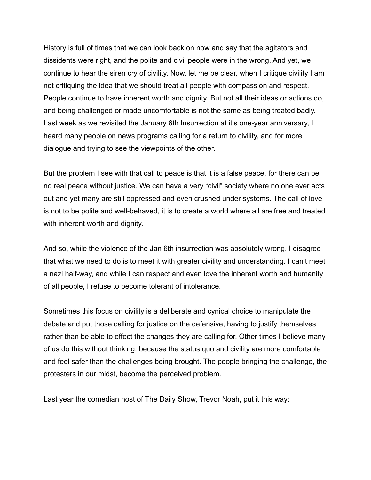History is full of times that we can look back on now and say that the agitators and dissidents were right, and the polite and civil people were in the wrong. And yet, we continue to hear the siren cry of civility. Now, let me be clear, when I critique civility I am not critiquing the idea that we should treat all people with compassion and respect. People continue to have inherent worth and dignity. But not all their ideas or actions do, and being challenged or made uncomfortable is not the same as being treated badly. Last week as we revisited the January 6th Insurrection at it's one-year anniversary, I heard many people on news programs calling for a return to civility, and for more dialogue and trying to see the viewpoints of the other.

But the problem I see with that call to peace is that it is a false peace, for there can be no real peace without justice. We can have a very "civil" society where no one ever acts out and yet many are still oppressed and even crushed under systems. The call of love is not to be polite and well-behaved, it is to create a world where all are free and treated with inherent worth and dignity.

And so, while the violence of the Jan 6th insurrection was absolutely wrong, I disagree that what we need to do is to meet it with greater civility and understanding. I can't meet a nazi half-way, and while I can respect and even love the inherent worth and humanity of all people, I refuse to become tolerant of intolerance.

Sometimes this focus on civility is a deliberate and cynical choice to manipulate the debate and put those calling for justice on the defensive, having to justify themselves rather than be able to effect the changes they are calling for. Other times I believe many of us do this without thinking, because the status quo and civility are more comfortable and feel safer than the challenges being brought. The people bringing the challenge, the protesters in our midst, become the perceived problem.

Last year the comedian host of The Daily Show, Trevor Noah, put it this way: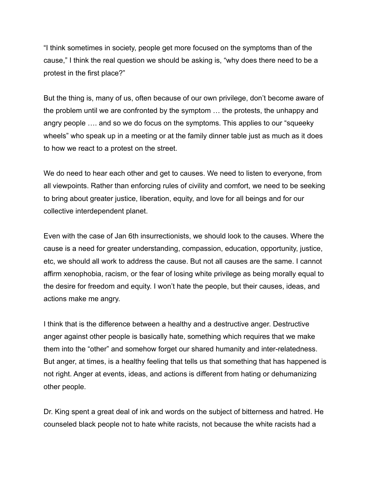"I think sometimes in society, people get more focused on the symptoms than of the cause," I think the real question we should be asking is, "why does there need to be a protest in the first place?"

But the thing is, many of us, often because of our own privilege, don't become aware of the problem until we are confronted by the symptom … the protests, the unhappy and angry people …. and so we do focus on the symptoms. This applies to our "squeeky wheels" who speak up in a meeting or at the family dinner table just as much as it does to how we react to a protest on the street.

We do need to hear each other and get to causes. We need to listen to everyone, from all viewpoints. Rather than enforcing rules of civility and comfort, we need to be seeking to bring about greater justice, liberation, equity, and love for all beings and for our collective interdependent planet.

Even with the case of Jan 6th insurrectionists, we should look to the causes. Where the cause is a need for greater understanding, compassion, education, opportunity, justice, etc, we should all work to address the cause. But not all causes are the same. I cannot affirm xenophobia, racism, or the fear of losing white privilege as being morally equal to the desire for freedom and equity. I won't hate the people, but their causes, ideas, and actions make me angry.

I think that is the difference between a healthy and a destructive anger. Destructive anger against other people is basically hate, something which requires that we make them into the "other" and somehow forget our shared humanity and inter-relatedness. But anger, at times, is a healthy feeling that tells us that something that has happened is not right. Anger at events, ideas, and actions is different from hating or dehumanizing other people.

Dr. King spent a great deal of ink and words on the subject of bitterness and hatred. He counseled black people not to hate white racists, not because the white racists had a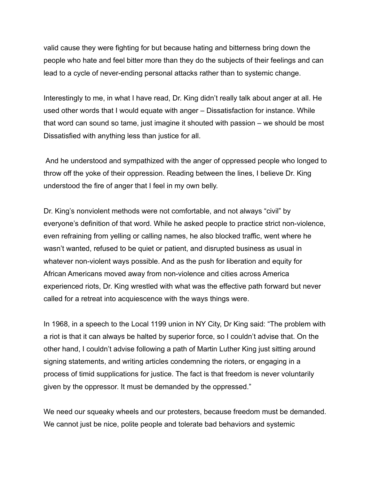valid cause they were fighting for but because hating and bitterness bring down the people who hate and feel bitter more than they do the subjects of their feelings and can lead to a cycle of never-ending personal attacks rather than to systemic change.

Interestingly to me, in what I have read, Dr. King didn't really talk about anger at all. He used other words that I would equate with anger – Dissatisfaction for instance. While that word can sound so tame, just imagine it shouted with passion – we should be most Dissatisfied with anything less than justice for all.

And he understood and sympathized with the anger of oppressed people who longed to throw off the yoke of their oppression. Reading between the lines, I believe Dr. King understood the fire of anger that I feel in my own belly.

Dr. King's nonviolent methods were not comfortable, and not always "civil" by everyone's definition of that word. While he asked people to practice strict non-violence, even refraining from yelling or calling names, he also blocked traffic, went where he wasn't wanted, refused to be quiet or patient, and disrupted business as usual in whatever non-violent ways possible. And as the push for liberation and equity for African Americans moved away from non-violence and cities across America experienced riots, Dr. King wrestled with what was the effective path forward but never called for a retreat into acquiescence with the ways things were.

In 1968, in a speech to the Local 1199 union in NY City, Dr King said: "The problem with a riot is that it can always be halted by superior force, so I couldn't advise that. On the other hand, I couldn't advise following a path of Martin Luther King just sitting around signing statements, and writing articles condemning the rioters, or engaging in a process of timid supplications for justice. The fact is that freedom is never voluntarily given by the oppressor. It must be demanded by the oppressed."

We need our squeaky wheels and our protesters, because freedom must be demanded. We cannot just be nice, polite people and tolerate bad behaviors and systemic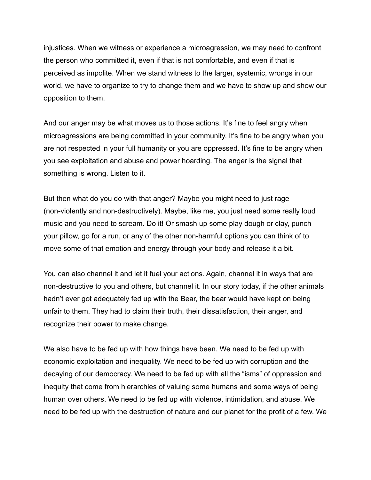injustices. When we witness or experience a microagression, we may need to confront the person who committed it, even if that is not comfortable, and even if that is perceived as impolite. When we stand witness to the larger, systemic, wrongs in our world, we have to organize to try to change them and we have to show up and show our opposition to them.

And our anger may be what moves us to those actions. It's fine to feel angry when microagressions are being committed in your community. It's fine to be angry when you are not respected in your full humanity or you are oppressed. It's fine to be angry when you see exploitation and abuse and power hoarding. The anger is the signal that something is wrong. Listen to it.

But then what do you do with that anger? Maybe you might need to just rage (non-violently and non-destructively). Maybe, like me, you just need some really loud music and you need to scream. Do it! Or smash up some play dough or clay, punch your pillow, go for a run, or any of the other non-harmful options you can think of to move some of that emotion and energy through your body and release it a bit.

You can also channel it and let it fuel your actions. Again, channel it in ways that are non-destructive to you and others, but channel it. In our story today, if the other animals hadn't ever got adequately fed up with the Bear, the bear would have kept on being unfair to them. They had to claim their truth, their dissatisfaction, their anger, and recognize their power to make change.

We also have to be fed up with how things have been. We need to be fed up with economic exploitation and inequality. We need to be fed up with corruption and the decaying of our democracy. We need to be fed up with all the "isms" of oppression and inequity that come from hierarchies of valuing some humans and some ways of being human over others. We need to be fed up with violence, intimidation, and abuse. We need to be fed up with the destruction of nature and our planet for the profit of a few. We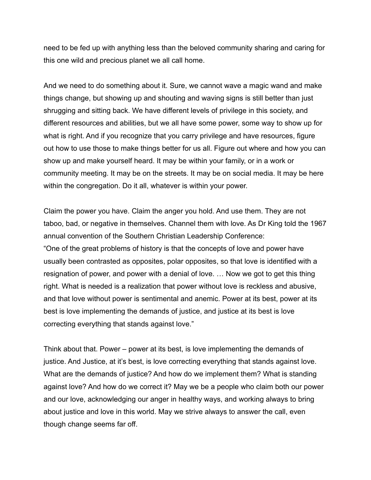need to be fed up with anything less than the beloved community sharing and caring for this one wild and precious planet we all call home.

And we need to do something about it. Sure, we cannot wave a magic wand and make things change, but showing up and shouting and waving signs is still better than just shrugging and sitting back. We have different levels of privilege in this society, and different resources and abilities, but we all have some power, some way to show up for what is right. And if you recognize that you carry privilege and have resources, figure out how to use those to make things better for us all. Figure out where and how you can show up and make yourself heard. It may be within your family, or in a work or community meeting. It may be on the streets. It may be on social media. It may be here within the congregation. Do it all, whatever is within your power.

Claim the power you have. Claim the anger you hold. And use them. They are not taboo, bad, or negative in themselves. Channel them with love. As Dr King told the 1967 annual convention of the Southern Christian Leadership Conference: "One of the great problems of history is that the concepts of love and power have usually been contrasted as opposites, polar opposites, so that love is identified with a resignation of power, and power with a denial of love. … Now we got to get this thing right. What is needed is a realization that power without love is reckless and abusive, and that love without power is sentimental and anemic. Power at its best, power at its best is love implementing the demands of justice, and justice at its best is love correcting everything that stands against love."

Think about that. Power – power at its best, is love implementing the demands of justice. And Justice, at it's best, is love correcting everything that stands against love. What are the demands of justice? And how do we implement them? What is standing against love? And how do we correct it? May we be a people who claim both our power and our love, acknowledging our anger in healthy ways, and working always to bring about justice and love in this world. May we strive always to answer the call, even though change seems far off.